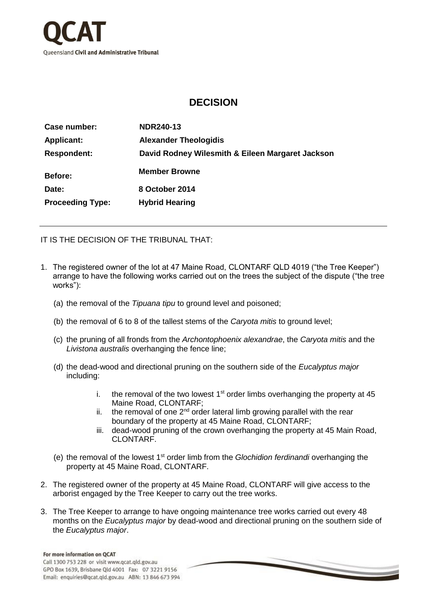

## **DECISION**

| Case number:            | <b>NDR240-13</b>                                 |
|-------------------------|--------------------------------------------------|
| <b>Applicant:</b>       | <b>Alexander Theologidis</b>                     |
| <b>Respondent:</b>      | David Rodney Wilesmith & Eileen Margaret Jackson |
| <b>Before:</b>          | <b>Member Browne</b>                             |
| Date:                   | 8 October 2014                                   |
| <b>Proceeding Type:</b> | <b>Hybrid Hearing</b>                            |

IT IS THE DECISION OF THE TRIBUNAL THAT:

- 1. The registered owner of the lot at 47 Maine Road, CLONTARF QLD 4019 ("the Tree Keeper") arrange to have the following works carried out on the trees the subject of the dispute ("the tree works"):
	- (a) the removal of the *Tipuana tipu* to ground level and poisoned;
	- (b) the removal of 6 to 8 of the tallest stems of the *Caryota mitis* to ground level;
	- (c) the pruning of all fronds from the *Archontophoenix alexandrae*, the *Caryota mitis* and the *Livistona australis* overhanging the fence line;
	- (d) the dead-wood and directional pruning on the southern side of the *Eucalyptus major* including:
		- i. the removal of the two lowest  $1<sup>st</sup>$  order limbs overhanging the property at 45 Maine Road, CLONTARF;
		- ii. the removal of one  $2<sup>nd</sup>$  order lateral limb growing parallel with the rear boundary of the property at 45 Maine Road, CLONTARF;
		- iii. dead-wood pruning of the crown overhanging the property at 45 Main Road, CLONTARF.
	- (e) the removal of the lowest 1st order limb from the *Glochidion ferdinandi* overhanging the property at 45 Maine Road, CLONTARF.
- 2. The registered owner of the property at 45 Maine Road, CLONTARF will give access to the arborist engaged by the Tree Keeper to carry out the tree works.
- 3. The Tree Keeper to arrange to have ongoing maintenance tree works carried out every 48 months on the *Eucalyptus major* by dead-wood and directional pruning on the southern side of the *Eucalyptus major*.